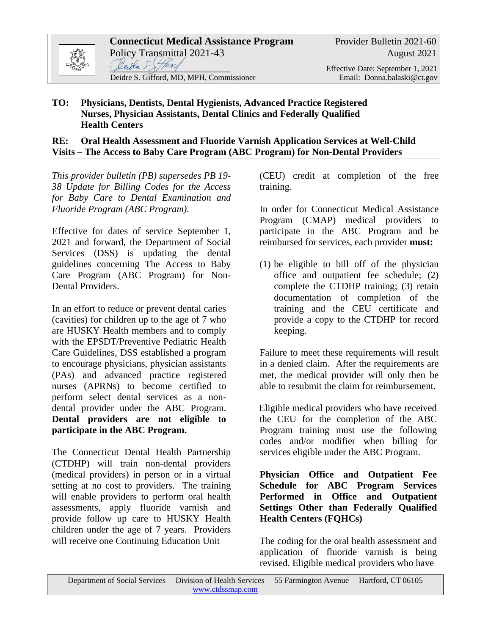

#### **TO: Physicians, Dentists, Dental Hygienists, Advanced Practice Registered Nurses, Physician Assistants, Dental Clinics and Federally Qualified Health Centers**

#### **RE: Oral Health Assessment and Fluoride Varnish Application Services at Well-Child Visits – The Access to Baby Care Program (ABC Program) for Non-Dental Providers**

*This provider bulletin (PB) supersedes PB 19- 38 Update for Billing Codes for the Access for Baby Care to Dental Examination and Fluoride Program (ABC Program).*

Effective for dates of service September 1, 2021 and forward, the Department of Social Services (DSS) is updating the dental guidelines concerning The Access to Baby Care Program (ABC Program) for Non-Dental Providers.

In an effort to reduce or prevent dental caries (cavities) for children up to the age of 7 who are HUSKY Health members and to comply with the EPSDT/Preventive Pediatric Health Care Guidelines, DSS established a program to encourage physicians, physician assistants (PAs) and advanced practice registered nurses (APRNs) to become certified to perform select dental services as a nondental provider under the ABC Program. **Dental providers are not eligible to participate in the ABC Program.**

The Connecticut Dental Health Partnership (CTDHP) will train non-dental providers (medical providers) in person or in a virtual setting at no cost to providers. The training will enable providers to perform oral health assessments, apply fluoride varnish and provide follow up care to HUSKY Health children under the age of 7 years. Providers will receive one Continuing Education Unit

(CEU) credit at completion of the free training.

In order for Connecticut Medical Assistance Program (CMAP) medical providers to participate in the ABC Program and be reimbursed for services, each provider **must:**

(1) be eligible to bill off of the physician office and outpatient fee schedule; (2) complete the CTDHP training; (3) retain documentation of completion of the training and the CEU certificate and provide a copy to the CTDHP for record keeping.

Failure to meet these requirements will result in a denied claim. After the requirements are met, the medical provider will only then be able to resubmit the claim for reimbursement.

Eligible medical providers who have received the CEU for the completion of the ABC Program training must use the following codes and/or modifier when billing for services eligible under the ABC Program.

**Physician Office and Outpatient Fee Schedule for ABC Program Services Performed in Office and Outpatient Settings Other than Federally Qualified Health Centers (FQHCs)**

The coding for the oral health assessment and application of fluoride varnish is being revised. Eligible medical providers who have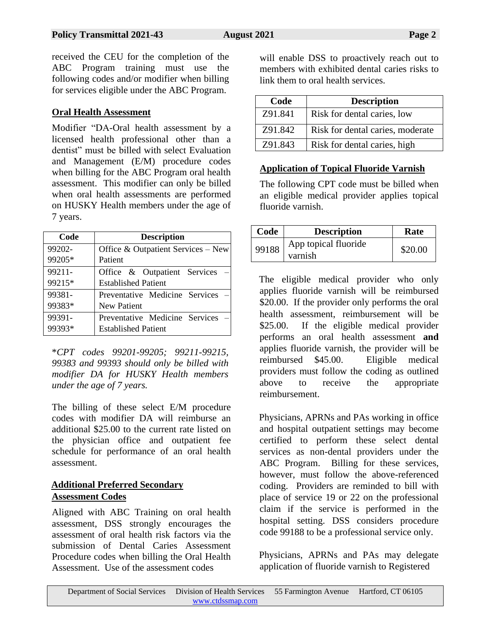received the CEU for the completion of the ABC Program training must use the following codes and/or modifier when billing for services eligible under the ABC Program.

## **Oral Health Assessment**

Modifier "DA-Oral health assessment by a licensed health professional other than a dentist" must be billed with select Evaluation and Management (E/M) procedure codes when billing for the ABC Program oral health assessment. This modifier can only be billed when oral health assessments are performed on HUSKY Health members under the age of 7 years.

| Code   | <b>Description</b>                    |  |  |
|--------|---------------------------------------|--|--|
| 99202- | Office $\&$ Outpatient Services – New |  |  |
| 99205* | Patient                               |  |  |
| 99211- | Office & Outpatient Services          |  |  |
| 99215* | <b>Established Patient</b>            |  |  |
| 99381- | Preventative Medicine Services        |  |  |
| 99383* | <b>New Patient</b>                    |  |  |
| 99391- | Preventative Medicine Services        |  |  |
| 99393* | <b>Established Patient</b>            |  |  |

\**CPT codes 99201-99205; 99211-99215, 99383 and 99393 should only be billed with modifier DA for HUSKY Health members under the age of 7 years.*

The billing of these select E/M procedure codes with modifier DA will reimburse an additional \$25.00 to the current rate listed on the physician office and outpatient fee schedule for performance of an oral health assessment.

# **Additional Preferred Secondary Assessment Codes**

Aligned with ABC Training on oral health assessment, DSS strongly encourages the assessment of oral health risk factors via the submission of Dental Caries Assessment Procedure codes when billing the Oral Health Assessment. Use of the assessment codes

will enable DSS to proactively reach out to members with exhibited dental caries risks to link them to oral health services.

| Code    | <b>Description</b>               |  |
|---------|----------------------------------|--|
| Z91.841 | Risk for dental caries, low      |  |
| Z91.842 | Risk for dental caries, moderate |  |
| Z91.843 | Risk for dental caries, high     |  |

# **Application of Topical Fluoride Varnish**

The following CPT code must be billed when an eligible medical provider applies topical fluoride varnish.

| Code  | <b>Description</b>              | Rate    |
|-------|---------------------------------|---------|
| 99188 | App topical fluoride<br>varnish | \$20.00 |

The eligible medical provider who only applies fluoride varnish will be reimbursed \$20.00. If the provider only performs the oral health assessment, reimbursement will be \$25.00. If the eligible medical provider performs an oral health assessment **and** applies fluoride varnish, the provider will be reimbursed \$45.00. Eligible medical providers must follow the coding as outlined above to receive the appropriate reimbursement.

Physicians, APRNs and PAs working in office and hospital outpatient settings may become certified to perform these select dental services as non-dental providers under the ABC Program. Billing for these services, however, must follow the above-referenced coding. Providers are reminded to bill with place of service 19 or 22 on the professional claim if the service is performed in the hospital setting. DSS considers procedure code 99188 to be a professional service only.

Physicians, APRNs and PAs may delegate application of fluoride varnish to Registered